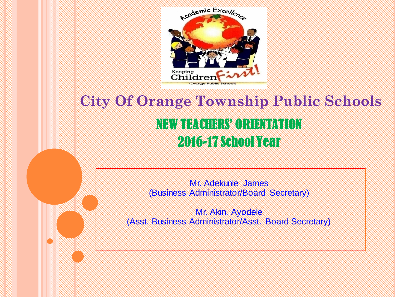

# **City Of Orange Township Public Schools** NEW TEACHERS' ORIENTATION 2016-17 School Year

Mr. Adekunle James (Business Administrator/Board Secretary)

Mr. Akin. Ayodele (Asst. Business Administrator/Asst. Board Secretary)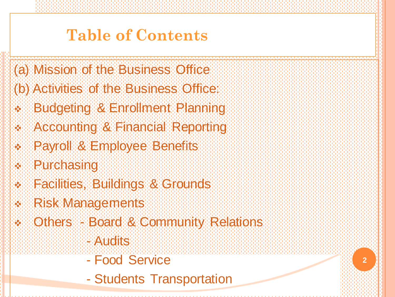# **Table of Contents**

(a) Mission of the Business Office

- (b) Activities of the Business Office:
- Budgeting & Enrollment Planning
- Accounting & Financial Reporting
- Payroll & Employee Benefits
- Purchasing
- **Racilities, Buildings & Grounds**
- Risk Managements
- Others Board & Community Relations
	- **HWATTIGHTS**
	- Food Service
	- Students Transportation

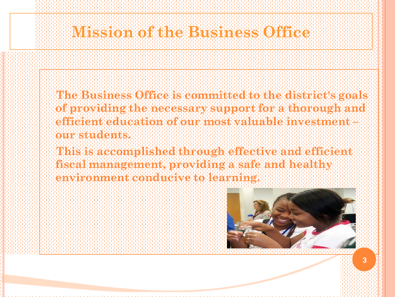## **Mission to Business Office**

- **The Business Office is committed to the district's goals of providing the necessary support for a thorough and**  efficient education of our most valuable investment **in our astrology**
- **This is accomplished through effective and efficient fiscal management, providing and healthy providing a safe and healthy and healthy and healthy and healthy and h**<br>This Call man that a special computation with the part of safe and healthy call healthy **environment conducive to learning.**

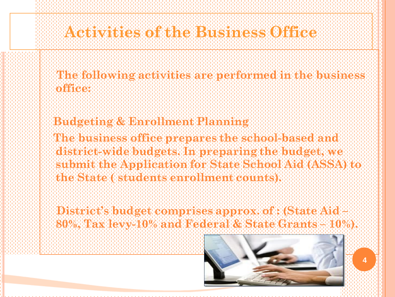**The following activities are performed in the business office:**

#### **Budgeting & Enrollment Planning**

**The business office prepares the school-based and district-wide budgets. In preparing the budget, we submit the Application for State School Aid (ASSA) to the State ( students enrollment counts).**

**District's budget comprises approx. of : (State Aid – 80%, Tax levy-10% and Federal & State Grants – 10%).**

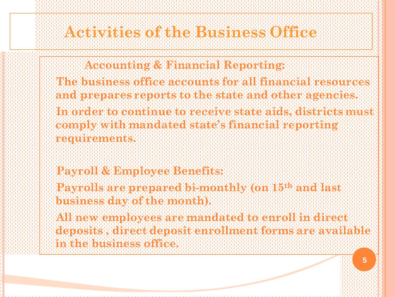### **Actual Mession Municipies of the Business Office**

- **Accounting & Financial Reporting:**
- **The business office accounts for all financial resources and prepares reports to the state and other agencies.**
- **In order to continue to receive state aids, districts must comply with mandated state's financial reporting requirements.**
- **Payroll & Employee Benefits:**
- **Payrolls are prepared bi-monthly (on 15th and last business day of the month).**
- **All new employees are mandated to enroll in direct deposits , direct deposit enrollment forms are available in the business office.**

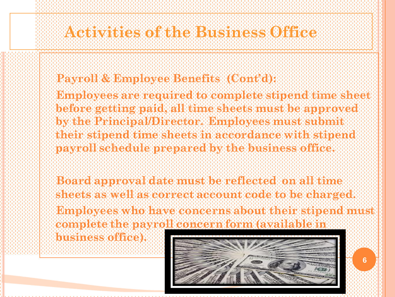#### **Payroll & Employee Benefits (Cont'd):**

- **Employees are required to complete stand of the stipes to before getting paid, all time sheets must be approved by the Principal Principal/Director. Employees Mother Manager submit submit the Principal Principal Principal their stipend time sheets in accordance with stipend payroll schedule prepared by the business office.**
- **Board approval date must be reflected on all time sheets as well as correct account code to be charged. Employees who have concerns about their stipend must**
- **complete the payroll concern form (available in business office).**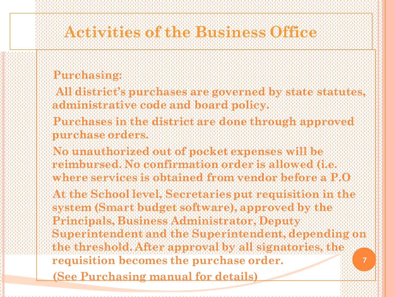#### **Purchasing:**

- **All tights the purchase in a second by statute statutes, and statutes, administrative code and board policy.**
- **Purchases in the district are done through approved purchase orders.**
- **No unauthorized out of pocket expenses will be reimburged. No comfirmation or confirmation** (i.e.  $\mathbf{r}$ **where services in a property of the services is the model were a P.O . In 1999, the service of the**  $\mathbf{0}$
- **At the School level, Secretaries put requisition in the system (Smart budget software), approved by the Principals, Business Administrator, Deputy**  Superintendent and the Superintendent, depending on **the Superintendent, and the Superintendent, and the threshold. After approval by all signatories, the**

- **requisition becomes the purchase order.**
- **(See Purchasing manual for details)**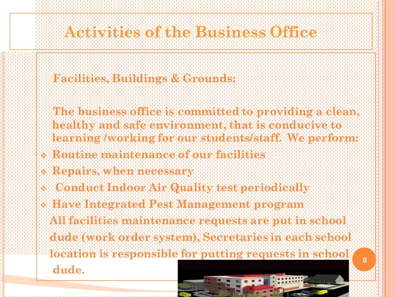#### **Facilities, Buildings & Grounds:**

- **The business office is committed to providing a clean, healthy and safe environment, that is conducive to learning /working for our students/staff. We perform:**
- **Routine maintenance of our facilities**
- **Repairs, when necessary**
- **E TO OF AIR IN A OOT AIR QUALITY TEST PERIODICALLY**
- **Have Integrated Pest Management program** 
	- **All facilities maintenance requests are put in school**
- **dude (work order system), Secretaries in each school location is responsible for putting requests in school**

**dude.**

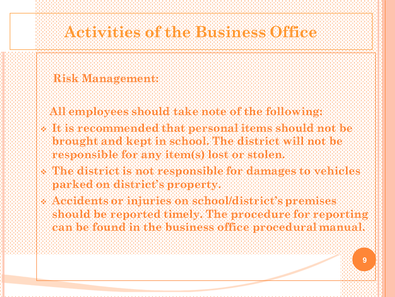#### **Risk Management:**

- **All employees should take note of the following:**
- **It is a commented that personal items showed that items in the personal items items items items items items it brought and kept in school. The district will not be responsible for any item(s) lost or stolen.**
- The district is not responsible for the damages to vehicles **i parked on district's property.**
- **Accidents or injuries on school/district's premises**  should be reported timely. The procedure for reporting  $\mathbf{g}_i$ **can be found in the business office procedural manual.**

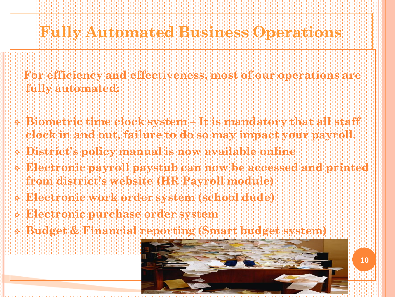# **Fully Automated Business Operations**

- **For efficiency and effectiveness, most of our operations are fully automated:**
- **Biometric time clock system** and that all statement of the statement of the state **clock in and out, failure to do so may impact your payroll.**
- **District's policy manual is now available online**
- **Electronic payroll paystub can now be accessed and printed**  $\mathbf{c}$ **from district's website (HR Payroll module)**
- **Electronic work order system (school dude)**
- **Electronic purchase order system**
- **Budget & Financial reporting (Smart budget system)**